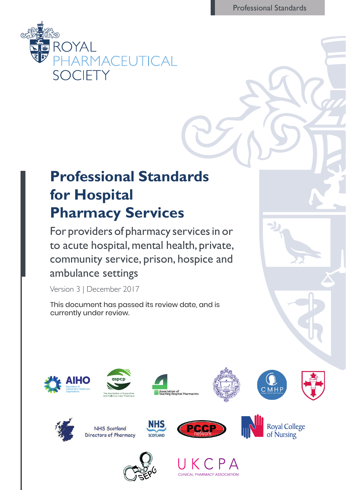Professional Standards



# **Professional Standards for Hospital Pharmacy Services**

For providers of pharmacy services in or to acute hospital, mental health, private, community service, prison, hospice and ambulance settings

Version 3 | December 2017

This document has passed its review date, and is currently under review.















**NHS Scotland** Directors of Pharmacy



**NHS** 

SCOTLAND





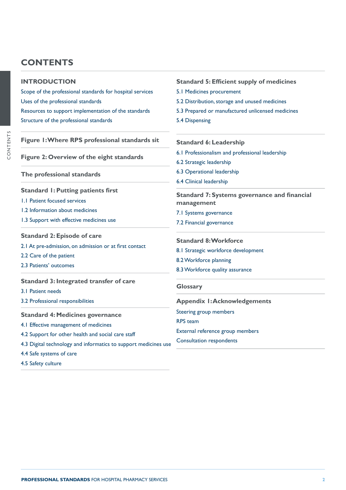# **CONTENTS**

| <b>INTRODUCTION</b>                                                               | <b>Standard 5: Efficient supply of medicines</b>    |
|-----------------------------------------------------------------------------------|-----------------------------------------------------|
| Scope of the professional standards for hospital services                         | 5.1 Medicines procurement                           |
| Uses of the professional standards                                                | 5.2 Distribution, storage and unused medicines      |
| Resources to support implementation of the standards                              | 5.3 Prepared or manufactured unlicensed medicines   |
| Structure of the professional standards                                           | 5.4 Dispensing                                      |
| Figure I: Where RPS professional standards sit                                    | <b>Standard 6: Leadership</b>                       |
|                                                                                   | 6.1 Professionalism and professional leadership     |
| Figure 2: Overview of the eight standards                                         | 6.2 Strategic leadership                            |
| The professional standards                                                        | 6.3 Operational leadership                          |
|                                                                                   | 6.4 Clinical leadership                             |
| <b>Standard I: Putting patients first</b>                                         | <b>Standard 7: Systems governance and financial</b> |
| 1.1 Patient focused services                                                      | management                                          |
| 1.2 Information about medicines                                                   | 7.1 Systems governance                              |
| 1.3 Support with effective medicines use                                          | 7.2 Financial governance                            |
| <b>Standard 2: Episode of care</b>                                                |                                                     |
| 2.1 At pre-admission, on admission or at first contact<br>2.2 Care of the patient | <b>Standard 8: Workforce</b>                        |
|                                                                                   | 8.1 Strategic workforce development                 |
| 2.3 Patients' outcomes                                                            | 8.2 Workforce planning                              |
|                                                                                   | 8.3 Workforce quality assurance                     |
| <b>Standard 3: Integrated transfer of care</b>                                    | <b>Glossary</b>                                     |
| 3.1 Patient needs                                                                 |                                                     |
| 3.2 Professional responsibilities                                                 | <b>Appendix I:Acknowledgements</b>                  |
| <b>Standard 4: Medicines governance</b>                                           | Steering group members                              |
| 4.1 Effective management of medicines                                             | <b>RPS</b> team                                     |
| 4.2 Support for other health and social care staff                                | External reference group members                    |
| 4.3 Digital technology and informatics to support medicines use                   | <b>Consultation respondents</b>                     |
| 4.4 Safe systems of care                                                          |                                                     |

[4.5 Safety culture](#page-11-0)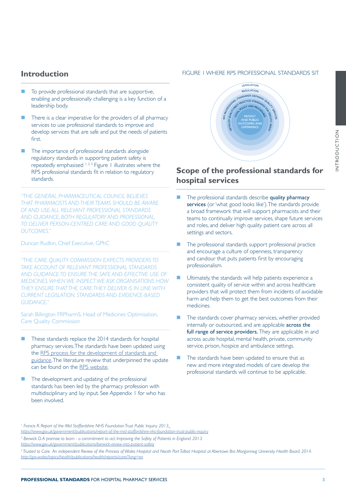## <span id="page-2-0"></span>**Introduction**

- To provide professional standards that are supportive, enabling and professionally challenging is a key function of a leadership body.
- There is a clear imperative for the providers of all pharmacy services to use professional standards to improve and develop services that are safe and put the needs of patients first.
- The importance of professional standards alongside regulatory standards in supporting patient safety is repeatedly emphasised  $1, 2, 3$  Figure 1 illustrates where the RPS professional standards fit in relation to regulatory standards.

*"THE GENERAL PHARMACEUTICAL COUNCIL BELIEVES THAT PHARMACISTS AND THEIR TEAMS SHOULD BE AWARE OF AND USE ALL RELEVANT PROFESSIONAL STANDARDS AND GUIDANCE, BOTH REGULATORY AND PROFESSIONAL, TO DELIVER PERSON-CENTRED CARE AND GOOD QUALITY OUTCOMES."*

Duncan Rudkin, Chief Executive, GPhC

*"THE CARE QUALITY COMMISSION EXPECTS PROVIDERS TO TAKE ACCOUNT OF RELEVANT PROFESSIONAL STANDARDS AND GUIDANCE TO ENSURE THE SAFE AND EFFECTIVE USE OF MEDICINES. WHEN WE INSPECT WE ASK ORGANISATIONS HOW THEY ENSURE THAT THE CARE THEY DELIVER IS IN LINE WITH CURRENT LEGISLATION, STANDARDS AND EVIDENCE-BASED GUIDANCE."* 

Sarah Billington FRPharmS, Head of Medicines Optimisation, Care Quality Commission

- These standards replace the 2014 standards for hospital pharmacy services. The standards have been updated using the [RPS process for the development of standards and](https://www.rpharms.com/Portals/0/RPS%20document%20library/Open%20access/Manuals/How%20the%20RPS%20develops%20standards%20and%20guidance.pdf?ver=2017-05-31-143135-447)  [guidance.](https://www.rpharms.com/Portals/0/RPS%20document%20library/Open%20access/Manuals/How%20the%20RPS%20develops%20standards%20and%20guidance.pdf?ver=2017-05-31-143135-447) The literature review that underpinned the update can be found on the [RPS website](https://www.rpharms.com/Portals/0/RPS%20document%20library/Open%20access/Professional%20standards/Hospital%20standards%20update%20consultation/Updating%20the%20RPS%20Hospital%20Pharmacy%20Standards%20Literature%20Review.pdf).
- The development and updating of the professional standards has been led by the pharmacy profession with multidisciplinary and lay input. See Appendix 1 for who has been involved.

## FIGURE 1 WHERE RPS PROFESSIONAL STANDARDS SIT



## **Scope of the professional standards for hospital services**

- The professional standards describe quality pharmacy services (or 'what good looks like'). The standards provide a broad framework that will support pharmacists and their teams to continually improve services, shape future services and roles, and deliver high quality patient care across all settings and sectors.
- The professional standards support professional practice and encourage a culture of openness, transparency and candour that puts patients first by encouraging professionalism.
- Ultimately, the standards will help patients experience a consistent quality of service within and across healthcare providers that will protect them from incidents of avoidable harm and help them to get the best outcomes from their medicines.
- The standards cover pharmacy services, whether provided internally or outsourced, and are applicable **across the** full range of service providers. They are applicable in and across acute hospital, mental health, private, community service, prison, hospice and ambulance settings.
- The standards have been updated to ensure that as new and more integrated models of care develop the professional standards will continue to be applicable.

NTRODUCTION INTRODUCTION

<sup>1</sup> Francis R. Report of the Mid Staffordshire NHS Foundation Trust Public Inquiry. 2013. *https://www.gov.uk/government/publications/report-of-the-mid-staffordshire-nhs-foundation-trust-public-inquiry*

*2 Berwick D. A promise to learn - a commitment to act: Improving the Safety of Patients in England. 2013.* 

*<https://www.gov.uk/government/publications/berwick-review-into-patient-safety>*

<sup>&</sup>lt;sup>3</sup> Trusted to Care. An independent Review of the Princess of Wales Hospital and Neath Port Talbot Hospital at Abertawe Bro Morgannwg University Health Board. 2014. *<http://gov.wales/topics/health/publications/health/reports/care/?lang=en>*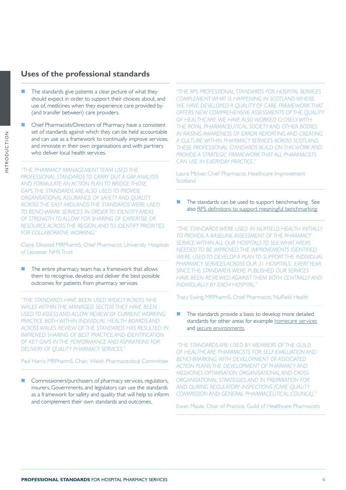## <span id="page-3-0"></span>**Uses of the professional standards**

- The standards give patients a clear picture of what they should expect in order to support their choices about, and use of, medicines when they experience care provided by (and transfer between) care providers.
- Chief Pharmacists/Directors of Pharmacy have a consistent set of standards against which they can be held accountable and can use as a framework to continually improve services, and innovate in their own organisations and with partners who deliver local health services.

*"THE PHARMACY MANAGEMENT TEAM USED THE PROFESSIONAL STANDARDS TO CARRY OUT A GAP ANALYSIS AND FORMULATE AN ACTION PLAN TO BRIDGE THOSE GAPS. THE STANDARDS ARE ALSO USED TO PROVIDE ORGANISATIONAL ASSURANCE OF SAFETY AND QUALITY. ACROSS THE EAST MIDLANDS THE STANDARDS WERE USED TO BENCHMARK SERVICES IN ORDER TO IDENTIFY AREAS OF STRENGTH TO ALLOW FOR SHARING OF EXPERTISE OR RESOURCE ACROSS THE REGION, AND TO IDENTIFY PRIORITIES FOR COLLABORATIVE WORKING."*

Claire Ellwood MRPharmS, Chief Pharmacist, University Hospitals of Leicester NHS Trust

 The entire pharmacy team has a framework that allows them to recognise, develop and deliver the best possible outcomes for patients from pharmacy services.

Tracy Ewing MRPharmS, Chief Pharmacist, Nuffield Health *"THE STANDARDS HAVE BEEN USED WIDELY ACROSS NHS WALES WITHIN THE MANAGED SECTOR. THEY HAVE BEEN USED TO ASSESS AND ALLOW REVIEW OF CURRENT WORKING PRACTICE BOTH WITHIN INDIVIDUAL HEALTH BOARDS AND ACROSS WALES. REVIEW OF THE STANDARDS HAS RESULTED IN IMPROVED SHARING OF BEST PRACTICE AND IDENTIFICATION OF KEY GAPS IN THE PERFORMANCE AND ASPIRATIONS FOR DELIVERY OF QUALITY PHARMACY SERVICES."*

Paul Harris MRPharmS, Chair, Welsh Pharmaceutical Committee

 Commissioners/purchasers of pharmacy services, regulators, insurers, Governments, and legislators can use the standards as a framework for safety and quality that will help to inform and complement their own standards and outcomes.

*"THE RPS PROFESSIONAL STANDARDS FOR HOSPITAL SERVICES COMPLEMENT WHAT IS HAPPENING IN SCOTLAND WHERE WE HAVE DEVELOPED A QUALITY OF CARE FRAMEWORK THAT OFFERS NEW COMPREHENSIVE ASSESSMENTS OF THE QUALITY OF HEALTHCARE. WE HAVE ALSO WORKED CLOSELY WITH THE ROYAL PHARMACEUTICAL SOCIETY AND OTHER BODIES IN RAISING AWARENESS OF ERROR REPORTING AND CREATING A CULTURE WITHIN PHARMACY SERVICES ACROSS SCOTLAND. THESE PROFESSIONAL STANDARDS BUILD ON THIS WORK AND PROVIDE A STRATEGIC FRAMEWORK THAT ALL PHARMACISTS CAN USE IN EVERYDAY PRACTICE."*

Laura McIver, Chief Pharmacist, Healthcare Improvement **Scotland** 

 The standards can be used to support benchmarking. See also [RPS definitions to support meaningful benchmarking](https://www.rpharms.com/Portals/0/RPS%20document%20library/Open%20access/Professional%20standards/Professional%20standards%20for%20Hospital%20pharmacy/Hospital%20pharmacy%20benchmarking%20metrics.pdf).

*"THE STANDARDS WERE USED IN NUFFIELD HEALTH INITIALLY TO PROVIDE A BASELINE ASSESSMENT OF THE PHARMACY SERVICE WITHIN ALL OUR HOSPITALS TO SEE WHAT AREAS NEEDED TO BE IMPROVED. THE IMPROVEMENTS IDENTIFIED WERE USED TO DEVELOP A PLAN TO SUPPORT THE INDIVIDUAL PHARMACY SERVICES ACROSS OUR 31 HOSPITALS. EVERY YEAR SINCE THE STANDARDS WERE PUBLISHED OUR SERVICES HAVE BEEN REVIEWED AGAINST THEM BOTH CENTRALLY AND INDIVIDUALLY BY EACH HOSPITAL."*

 The standards provide a basis to develop more detailed standards for other areas for example [homecare services](http://www.rpharms.com/resources/professional-standards/professional-standards-for-homecare-services) and [secure environments](https://www.rpharms.com/resources/professional-standards/optimising-medicines-in-secure-environments).

*"THE STANDARDS ARE USED BY MEMBERS OF THE GUILD OF HEALTHCARE PHARMACISTS FOR: SELF-EVALUATION AND BENCHMARKING, WITH DEVELOPMENT OF ASSOCIATED ACTION PLANS; THE DEVELOPMENT OF PHARMACY AND MEDICINES OPTIMISATION ORGANISATIONAL AND CROSS-ORGANISATIONAL STRATEGIES; AND IN PREPARATION FOR AND DURING REGULATORY INSPECTIONS (CARE QUALITY COMMISSION AND GENERAL PHARMACEUTICAL COUNCIL)."*

Ewan Maule, Chair of Practice, Guild of Healthcare Pharmacists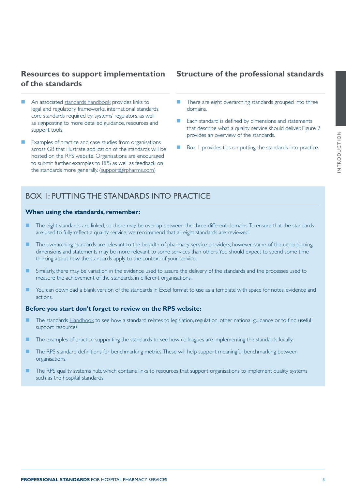## <span id="page-4-0"></span>**Resources to support implementation of the standards**

- An associated [standards handbook](https://www.rpharms.com/resources/professional-standards/professional-standards-for-hospital-pharmacy/handbook-hospital-pharmacy-standards) provides links to legal and regulatory frameworks, international standards, core standards required by 'systems' regulators, as well as signposting to more detailed guidance, resources and support tools.
- Examples of practice and case studies from organisations across GB that illustrate application of the standards will be hosted on the RPS website. Organisations are encouraged to submit further examples to RPS as well as feedback on the standards more generally. ([support@rpharms.com\)](mailto:support%40rpharms.com?subject=)

## **Structure of the professional standards**

- There are eight overarching standards grouped into three domains.
- Each standard is defined by dimensions and statements that describe what a quality service should deliver. Figure 2 provides an overview of the standards.
- Box 1 provides tips on putting the standards into practice.

## BOX 1: PUTTING THE STANDARDS INTO PRACTICE

## **When using the standards, remember:**

- The eight standards are linked, so there may be overlap between the three different domains. To ensure that the standards are used to fully reflect a quality service, we recommend that all eight standards are reviewed.
- The overarching standards are relevant to the breadth of pharmacy service providers; however, some of the underpinning dimensions and statements may be more relevant to some services than others. You should expect to spend some time thinking about how the standards apply to the context of your service.
- **Similarly, there may be variation in the evidence used to assure the delivery of the standards and the processes used to** measure the achievement of the standards, in different organisations.
- You can download a blank version of the standards in Excel format to use as a template with space for notes, evidence and actions.

## **Before you start don't forget to review on the RPS website:**

- The standards **[Handbook](https://www.rpharms.com/resources/professional-standards/professional-standards-for-hospital-pharmacy/handbook-hospital-pharmacy-standards)** to see how a standard relates to legislation, regulation, other national guidance or to find useful support resources.
- The examples of practice supporting the standards to see how colleagues are implementing the standards locally.
- The RPS standard definitions for benchmarking metrics. These will help support meaningful benchmarking between organisations.
- The RPS quality systems hub, which contains links to resources that support organisations to implement quality systems such as the hospital standards.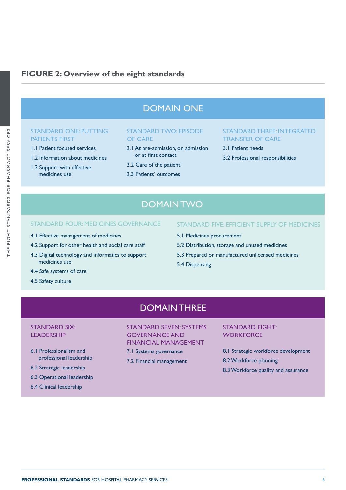## **FIGURE 2: Overview of the eight standards**

# DOMAIN ONE

## STANDARD ONE: PUTTING PATIENTS FIRST

- 1.1 Patient focused services
- 1.2 Information about medicines
- 1.3 Support with effective medicines use

## STANDARD TWO: EPISODE OF CARE

- 2.1 At pre-admission, on admission or at first contact
- 2.2 Care of the patient
- 2.3 Patients' outcomes

## STANDARD THREE: INTEGRATED TRANSFER OF CARE

- 3.1 Patient needs
- 3.2 Professional responsibilities

# **DOMAIN TWO**

## STANDARD FOUR: MEDICINES GOVERNANCE STANDARD FIVE: EFFICIENT SUPPLY OF MEDICINES

- 4.1 Effective management of medicines
- 4.2 Support for other health and social care staff
- 4.3 Digital technology and informatics to support medicines use
- 4.4 Safe systems of care
- 4.5 Safety culture
- 
- 5.1 Medicines procurement
- 5.2 Distribution, storage and unused medicines
- 5.3 Prepared or manufactured unlicensed medicines
- 5.4 Dispensing

# DOMAIN THREE

## STANDARD SIX: LEADERSHIP

- 6.1 Professionalism and professional leadership
- 6.2 Strategic leadership
- 6.3 Operational leadership
- 6.4 Clinical leadership

## STANDARD SEVEN: SYSTEMS GOVERNANCE AND FINANCIAL MANAGEMENT

- 7.1 Systems governance
- 7.2 Financial management

## STANDARD EIGHT: **WORKFORCE**

- 8.1 Strategic workforce development
- 8.2 Workforce planning
- 8.3 Workforce quality and assurance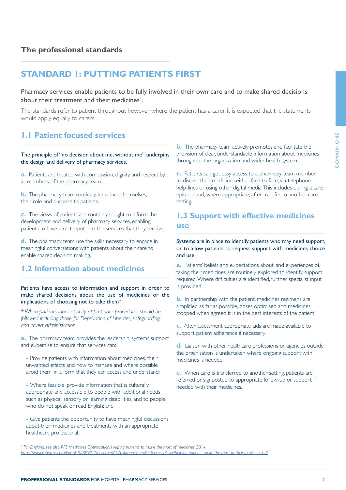## <span id="page-6-0"></span>**The professional standards**

## **STANDARD 1: PUTTING PATIENTS FIRST**

## Pharmacy services enable patients to be fully involved in their own care and to make shared decisions about their treatment and their medicines<sup>4</sup>.

The standards refer to patient throughout however where the patient has a carer it is expected that the statements would apply equally to carers.

## **1.1 Patient focused services**

## The principle of "no decision about me, without me" underpins the design and delivery of pharmacy services.

**a.** Patients are treated with compassion, dignity and respect by all members of the pharmacy team.

**b.** The pharmacy team routinely introduce themselves, their role and purpose to patients.

**c.** The views of patients are routinely sought to inform the development and delivery of pharmacy services, enabling patients to have direct input into the services that they receive.

**d.** The pharmacy team use the skills necessary to engage in meaningful conversations with patients about their care to enable shared decision making.

## **1.2 Information about medicines**

## Patients have access to information and support in order to make shared decisions about the use of medicines or the implications of choosing not to take them\*.

*\* When patients lack capacity appropriate procedures should be followed including those for Deprivation of Liberties, safeguarding and covert administration.*

**a.** The pharmacy team provides the leadership, systems support and expertise to ensure that services can:

**-** Provide patients with information about medicines, their unwanted effects and how to manage and where possible avoid them, in a form that they can access and understand;

**-** Where feasible, provide information that is culturally appropriate and accessible to people with additional needs such as physical, sensory or learning disabilities, and to people who do not speak or read English; and

**-** Give patients the opportunity to have meaningful discussions about their medicines and treatments with an appropriate healthcare professional.

**b.** The pharmacy team actively promotes and facilitate the provision of clear, understandable information about medicines throughout the organisation and wider health system.

**c.** Patients can get easy access to a pharmacy team member to discuss their medicines either face-to-face, via telephone help-lines or using other digital media. This includes during a care episode and, where appropriate, after transfer to another care setting.

## **1.3 Support with effective medicines use**

Systems are in place to identify patients who may need support, or to allow patients to request support with medicines choice and use.

**a.** Patients' beliefs and expectations about, and experiences of, taking their medicines are routinely explored to identify support required. Where difficulties are identified, further specialist input is provided.

**b.** In partnership with the patient, medicines regimens are simplified as far as possible, doses optimised and medicines stopped when agreed it is in the best interests of the patient.

**c.** After assessment appropriate aids are made available to support patient adherence if necessary.

**d.** Liaison with other healthcare professions or agencies outside the organisation is undertaken where ongoing support with medicines is needed.

**e.** When care is transferred to another setting, patients are referred or signposted to appropriate follow-up or support if needed with their medicines.

*4 For England, see also RPS Medicines Optimisation: Helping patients to make the most of medicines 2014 [https://www.rpharms.com/Portals/0/RPS%20document%20library/Open%20access/Policy/helping-patients-make-the-most-of-their-medicines.pdf](https://www.rpharms.com/Portals/0/RPS%20document%20library/Open%20access/Policy/helping-patients-mak)*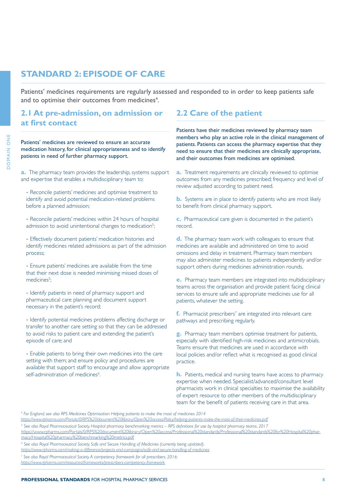# <span id="page-7-0"></span>**STANDARD 2: EPISODE OF CARE**

Patients' medicines requirements are regularly assessed and responded to in order to keep patients safe and to optimise their outcomes from medicines<sup>4</sup>.

## **2.1 At pre-admission, on admission or at first contact**

Patients' medicines are reviewed to ensure an accurate medication history, for clinical appropriateness and to identify patients in need of further pharmacy support.

**a.** The pharmacy team provides the leadership, systems support and expertise that enables a multidisciplinary team to:

**-** Reconcile patients' medicines and optimise treatment to identify and avoid potential medication-related problems before a planned admission;

**-** Reconcile patients' medicines within 24 hours of hospital admission to avoid unintentional changes to medication<sup>5</sup>; ;

**-** Effectively document patients' medication histories and identify medicines related admissions as part of the admission process;

**-** Ensure patients' medicines are available from the time that their next dose is needed minimising missed doses of medicines<sup>5</sup>: ;

**-** Identify patients in need of pharmacy support and pharmaceutical care planning and document support necessary in the patient's record;

**-** Identify potential medicines problems affecting discharge or transfer to another care setting so that they can be addressed to avoid risks to patient care and extending the patient's episode of care; and

**-** Enable patients to bring their own medicines into the care setting with them; and ensure policy and procedures are available that support staff to encourage and allow appropriate self-administration of medicines<sup>6</sup> .

## **2.2 Care of the patient**

Patients have their medicines reviewed by pharmacy team members who play an active role in the clinical management of patients. Patients can access the pharmacy expertise that they need to ensure that their medicines are clinically appropriate, and their outcomes from medicines are optimised.

**a.** Treatment requirements are clinically reviewed to optimise outcomes from any medicines prescribed; frequency and level of review adjusted according to patient need.

**b.** Systems are in place to identify patients who are most likely to benefit from clinical pharmacy support.

**c.** Pharmaceutical care given is documented in the patient's record.

**d.** The pharmacy team work with colleagues to ensure that medicines are available and administered on time to avoid omissions and delay in treatment. Pharmacy team members may also administer medicines to patients independently and/or support others during medicines administration rounds.

**e.** Pharmacy team members are integrated into multidisciplinary teams across the organisation and provide patient facing clinical services to ensure safe and appropriate medicines use for all patients, whatever the setting.

**f.** Pharmacist prescribers<sup>7</sup> are integrated into relevant care pathways and prescribing regularly.

**g.** Pharmacy team members optimise treatment for patients, especially with identified high-risk medicines and antimicrobials. Teams ensure that medicines are used in accordance with local policies and/or reflect what is recognised as good clinical practice.

**h.** Patients, medical and nursing teams have access to pharmacy expertise when needed. Specialist/advanced/consultant level pharmacists work in clinical specialties to maximise the availability of expert resource to other members of the multidisciplinary team for the benefit of patients receiving care in that area.

*4 For England, see also RPS Medicines Optimisation: Helping patients to make the most of medicines 2014*

[https://www.rpharms.com/Portals/0/RPS%20document%20library/Open%20access/Professional%20standards/Professional%20standards%20for%20Hospital%20phar](https://www.rpharms.com/Portals/0/RPS%20document%20library/Open%20access/Professional%20standards/Pr)[macy/Hospital%20pharmacy%20benchmarking%20metrics.pdf](https://www.rpharms.com/Portals/0/RPS%20document%20library/Open%20access/Professional%20standards/Pr)

*6 See also Royal Pharmaceutical Society. Safe and Secure Handling of Medicines (currently being updated). [https://www.rpharms.com/making-a-difference/projects-and-campaigns/safe-and-secure-handling-of-medicines](https://www.rpharms.com/making-a-difference/projects-and-campaigns/safe-and-secure-handling-of-medic)*

*7 See also Royal Pharmaceutical Society. A competency framework for all prescribers. 2016: <https://www.rpharms.com/resources/frameworks/prescribers-competency-framework>*

*[https://www.rpharms.com/Portals/0/RPS%20document%20library/Open%20access/Policy/helping-patients-make-the-most-of-their-medicines.pdf](https://www.rpharms.com/Portals/0/RPS%20document%20library/Open%20access/Policy/helping-patients-mak)*

*<sup>5</sup> See also Royal Pharmaceutical Society. Hospital pharmacy benchmarking metrics – RPS definitions for use by hospital pharmacy teams. 2017*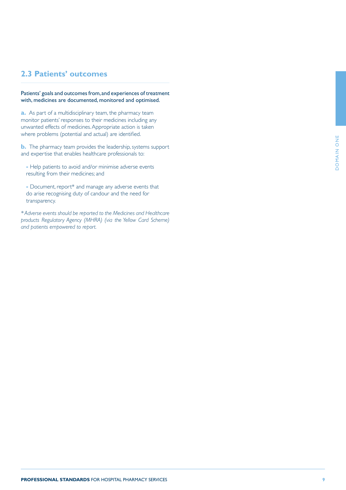## **2.3 Patients' outcomes**

Patients' goals and outcomes from, and experiences of treatment with, medicines are documented, monitored and optimised.

**a.** As part of a multidisciplinary team, the pharmacy team monitor patients' responses to their medicines including any unwanted effects of medicines. Appropriate action is taken where problems (potential and actual) are identified.

**b.** The pharmacy team provides the leadership, systems support and expertise that enables healthcare professionals to:

- Help patients to avoid and/or minimise adverse events resulting from their medicines; and
- Document, report\* and manage any adverse events that do arise recognising duty of candour and the need for transparency.

*\* Adverse events should be reported to the Medicines and Healthcare products Regulatory Agency (MHRA) (via the Yellow Card Scheme) and patients empowered to report.*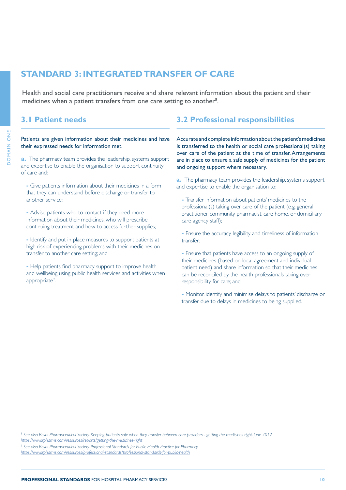# <span id="page-9-0"></span>**STANDARD 3: INTEGRATED TRANSFER OF CARE**

Health and social care practitioners receive and share relevant information about the patient and their medicines when a patient transfers from one care setting to another<sup>8</sup>.

Patients are given information about their medicines and have their expressed needs for information met.

**a.** The pharmacy team provides the leadership, systems support and expertise to enable the organisation to support continuity of care and:

**-** Give patients information about their medicines in a form that they can understand before discharge or transfer to another service;

**-** Advise patients who to contact if they need more information about their medicines, who will prescribe continuing treatment and how to access further supplies;

**-** Identify and put in place measures to support patients at high risk of experiencing problems with their medicines on transfer to another care setting; and

**-** Help patients find pharmacy support to improve health and wellbeing using public health services and activities when appropriate<sup>9</sup>. .

## **3.1 Patient needs 3.2 Professional responsibilities**

Accurate and complete information about the patient's medicines is transferred to the health or social care professional(s) taking over care of the patient at the time of transfer. Arrangements are in place to ensure a safe supply of medicines for the patient and ongoing support where necessary.

**a.** The pharmacy team provides the leadership, systems support and expertise to enable the organisation to:

**-** Transfer information about patients' medicines to the professional(s) taking over care of the patient (e.g. general practitioner, community pharmacist, care home, or domiciliary care agency staff);

**-** Ensure the accuracy, legibility and timeliness of information transfer;

**-** Ensure that patients have access to an ongoing supply of their medicines (based on local agreement and individual patient need) and share information so that their medicines can be reconciled by the health professionals taking over responsibility for care; and

**-** Monitor, identify and minimise delays to patients' discharge or transfer due to delays in medicines to being supplied.

*8 See also Royal Pharmaceutical Society. Keeping patients safe when they transfer between care providers - getting the medicines right. June 2012 <https://www.rpharms.com/resources/reports/getting-the-medicines-right>*

*9 See also Royal Pharmaceutical Society. Professional Standards for Public Health Practice for Pharmacy* 

*<https://www.rpharms.com/resources/professional-standards/professional-standards-for-public-health>*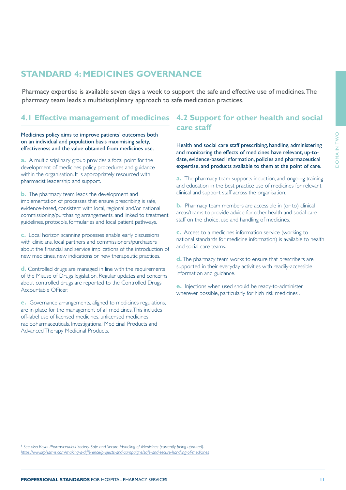# <span id="page-10-0"></span>**STANDARD 4: MEDICINES GOVERNANCE**

Pharmacy expertise is available seven days a week to support the safe and effective use of medicines. The pharmacy team leads a multidisciplinary approach to safe medication practices.

# **4.1 Effective management of medicines 4.2 Support for other health and social**

Medicines policy aims to improve patients' outcomes both on an individual and population basis maximising safety,

**a.** A multidisciplinary group provides a focal point for the development of medicines policy, procedures and guidance within the organisation. It is appropriately resourced with pharmacist leadership and support.

**b.** The pharmacy team leads the development and implementation of processes that ensure prescribing is safe, evidence-based, consistent with local, regional and/or national commissioning/purchasing arrangements, and linked to treatment guidelines, protocols, formularies and local patient pathways.

**c.** Local horizon scanning processes enable early discussions with clinicians, local partners and commissioners/purchasers about the financial and service implications of the introduction of new medicines, new indications or new therapeutic practices.

**d.** Controlled drugs are managed in line with the requirements of the Misuse of Drugs legislation. Regular updates and concerns about controlled drugs are reported to the Controlled Drugs Accountable Officer.

**e.** Governance arrangements, aligned to medicines regulations, are in place for the management of all medicines. This includes off-label use of licensed medicines, unlicensed medicines, radiopharmaceuticals, Investigational Medicinal Products and Advanced Therapy Medicinal Products.

# **care staff**

effectiveness and the value obtained from medicines use. Health and social care staff prescribing, handling, administering and monitoring the effects of medicines have relevant, up-todate, evidence-based information, policies and pharmaceutical expertise, and products available to them at the point of care.

> **a.** The pharmacy team supports induction, and ongoing training and education in the best practice use of medicines for relevant clinical and support staff across the organisation.

**b.** Pharmacy team members are accessible in (or to) clinical areas/teams to provide advice for other health and social care staff on the choice, use and handling of medicines.

**c.** Access to a medicines information service (working to national standards for medicine information) is available to health and social care teams.

**d.** The pharmacy team works to ensure that prescribers are supported in their everyday activities with readily-accessible information and guidance.

**e.** Injections when used should be ready-to-administer wherever possible, particularly for high risk medicines<sup>6</sup>.

*6 See also Royal Pharmaceutical Society. Safe and Secure Handling of Medicines (currently being updated). [https://www.rpharms.com/making-a-difference/projects-and-campaigns/safe-and-secure-handling-of-medicines](https://www.rpharms.com/making-a-difference/projects-and-campaigns/safe-and-secure-handling-of-medic)*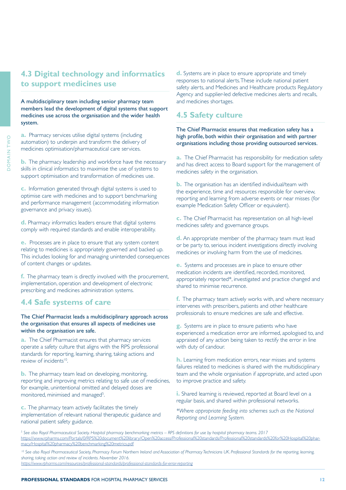# <span id="page-11-0"></span>**4.3 Digital technology and informatics to support medicines use**

A multidisciplinary team including senior pharmacy team members lead the development of digital systems that support medicines use across the organisation and the wider health system.

**a.** Pharmacy services utilise digital systems (including automation) to underpin and transform the delivery of medicines optimisation/pharmaceutical care services.

**b.** The pharmacy leadership and workforce have the necessary skills in clinical informatics to maximise the use of systems to support optimisation and transformation of medicines use.

**c.** Information generated through digital systems is used to optimise care with medicines and to support benchmarking and performance management (accommodating information governance and privacy issues).

**d.** Pharmacy informatics leaders ensure that digital systems comply with required standards and enable interoperability.

**e.** Processes are in place to ensure that any system content relating to medicines is appropriately governed and backed up. This includes looking for and managing unintended consequences of content changes or updates.

**f.** The pharmacy team is directly involved with the procurement, implementation, operation and development of electronic prescribing and medicines administration systems.

## **4.4 Safe systems of care**

The Chief Pharmacist leads a multidisciplinary approach across the organisation that ensures all aspects of medicines use within the organisation are safe.

**a.** The Chief Pharmacist ensures that pharmacy services operate a safety culture that aligns with the RPS professional standards for reporting, learning, sharing, taking actions and review of incidents<sup>10</sup>.

**b.** The pharmacy team lead on developing, monitoring, reporting and improving metrics relating to safe use of medicines, for example, unintentional omitted and delayed doses are monitored, minimised and managed<sup>5</sup>. .

**c.** The pharmacy team actively facilitates the timely implementation of relevant national therapeutic guidance and national patient safety guidance.

**d.** Systems are in place to ensure appropriate and timely responses to national alerts. These include national patient safety alerts, and Medicines and Healthcare products Regulatory Agency and supplier-led defective medicines alerts and recalls, and medicines shortages.

## **4.5 Safety culture**

The Chief Pharmacist ensures that medication safety has a high profile, both within their organisation and with partner organisations including those providing outsourced services.

**a.** The Chief Pharmacist has responsibility for medication safety and has direct access to Board support for the management of medicines safety in the organisation.

**b.** The organisation has an identified individual/team with the experience, time and resources responsible for overview, reporting and learning from adverse events or near misses (for example Medication Safety Officer or equivalent).

**c.** The Chief Pharmacist has representation on all high-level medicines safety and governance groups.

**d.** An appropriate member of the pharmacy team must lead or be party to, serious incident investigations directly involving medicines or involving harm from the use of medicines.

**e.** Systems and processes are in place to ensure other medication incidents are identified, recorded, monitored, appropriately reported\*, investigated and practice changed and shared to minimise recurrence.

**f.** The pharmacy team actively works with, and where necessary intervenes with prescribers, patients and other healthcare professionals to ensure medicines are safe and effective.

**g.** Systems are in place to ensure patients who have experienced a medication error are informed, apologised to, and appraised of any action being taken to rectify the error in line with duty of candour.

**h.** Learning from medication errors, near misses and systems failures related to medicines is shared with the multidisciplinary team and the whole organisation if appropriate, and acted upon to improve practice and safety.

**i.** Shared learning is reviewed, reported at Board level on a regular basis, and shared within professional networks.

*\*Where appropriate feeding into schemes such as the National Reporting and Learning System.*

*5 See also Royal Pharmaceutical Society. Hospital pharmacy benchmarking metrics – RPS definitions for use by hospital pharmacy teams. 2017* [https://www.rpharms.com/Portals/0/RPS%20document%20library/Open%20access/Professional%20standards/Professional%20standards%20for%20Hospital%20phar](https://www.rpharms.com/Portals/0/RPS%20document%20library/Open%20access/Professional%20standards/Pr)[macy/Hospital%20pharmacy%20benchmarking%20metrics.pdf](https://www.rpharms.com/Portals/0/RPS%20document%20library/Open%20access/Professional%20standards/Pr)

<sup>10</sup> See also Royal Pharmaceutical Society, Pharmacy Forum Northern Ireland and Association of Pharmacy Technicians UK. Professional Standards for the reporting, learning, *sharing, taking action and review of incidents. November 2016.* 

*<https://www.rpharms.com/resources/professional-standards/professional-standards-for-error-reporting>*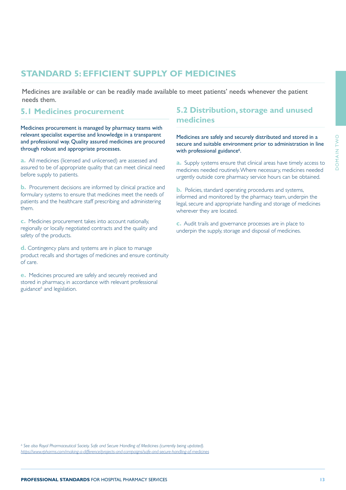# <span id="page-12-0"></span>**STANDARD 5: EFFICIENT SUPPLY OF MEDICINES**

Medicines are available or can be readily made available to meet patients' needs whenever the patient needs them.

Medicines procurement is managed by pharmacy teams with relevant specialist expertise and knowledge in a transparent and professional way. Quality assured medicines are procured through robust and appropriate processes.

**a.** All medicines (licensed and unlicensed) are assessed and assured to be of appropriate quality that can meet clinical need before supply to patients.

**b.** Procurement decisions are informed by clinical practice and formulary systems to ensure that medicines meet the needs of patients and the healthcare staff prescribing and administering them.

**c.** Medicines procurement takes into account nationally, regionally or locally negotiated contracts and the quality and safety of the products.

**d.** Contingency plans and systems are in place to manage product recalls and shortages of medicines and ensure continuity of care.

**e.** Medicines procured are safely and securely received and stored in pharmacy, in accordance with relevant professional guidance<sup>6</sup> and legislation.

## **5.1 Medicines procurement 5.2 Distribution, storage and unused medicines**

Medicines are safely and securely distributed and stored in a secure and suitable environment prior to administration in line with professional guidance<sup>6</sup>.

**a.** Supply systems ensure that clinical areas have timely access to medicines needed routinely. Where necessary, medicines needed urgently outside core pharmacy service hours can be obtained.

**b.** Policies, standard operating procedures and systems, informed and monitored by the pharmacy team, underpin the legal, secure and appropriate handling and storage of medicines wherever they are located.

**c.** Audit trails and governance processes are in place to underpin the supply, storage and disposal of medicines.

*6 See also Royal Pharmaceutical Society. Safe and Secure Handling of Medicines (currently being updated). [https://www.rpharms.com/making-a-difference/projects-and-campaigns/safe-and-secure-handling-of-medicines](https://www.rpharms.com/making-a-difference/projects-and-campaigns/safe-and-secure-handling-of-medic)*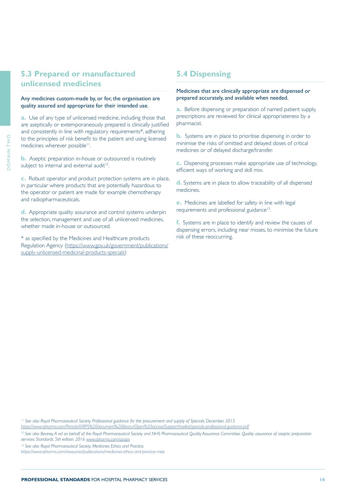## <span id="page-13-0"></span>**5.3 Prepared or manufactured 5.4 Dispensing unlicensed medicines**

## Any medicines custom-made by, or for, the organisation are prepared accurately, and available when needed. quality assured and appropriate for their intended use. **a.** Before dispensing or preparation of named patient supply,

**a.** Use of any type of unlicensed medicine, including those that are aseptically or extemporaneously prepared is clinically justified and consistently in line with regulatory requirements\*, adhering to the principles of risk benefit to the patient and using licensed medicines wherever possible<sup>11</sup>.

**b.** Aseptic preparation in-house or outsourced is routinely subject to internal and external audit<sup>12</sup>.

**c.** Robust operator and product protection systems are in place, in particular where products that are potentially hazardous to the operator or patient are made for example chemotherapy and radiopharmaceuticals.

**d.** Appropriate quality assurance and control systems underpin the selection, management and use of all unlicensed medicines, whether made in-house or outsourced.

\* as specified by the Medicines and Healthcare products Regulation Agency ([https://www.gov.uk/government/publications/](https://www.gov.uk/government/publications/supply-unlicensed-medicinal-products-specials) [supply-unlicensed-medicinal-products-specials](https://www.gov.uk/government/publications/supply-unlicensed-medicinal-products-specials))

# Medicines that are clinically appropriate are dispensed or

prescriptions are reviewed for clinical appropriateness by a pharmacist.

**b.** Systems are in place to prioritise dispensing in order to minimise the risks of omitted and delayed doses of critical medicines or of delayed discharge/transfer.

**c.** Dispensing processes make appropriate use of technology, efficient ways of working and skill mix.

**d.** Systems are in place to allow traceability of all dispensed medicines.

**e.** Medicines are labelled for safety in line with legal requirements and professional guidance<sup>13</sup>.

**f.** Systems are in place to identify and review the causes of dispensing errors, including near misses, to minimise the future risk of these reoccurring.

*11 See also Royal Pharmaceutical Society. Professional guidance for the procurement and supply of Specials. December 2015* 

*[https://www.rpharms.com/Portals/0/RPS%20document%20library/Open%20access/Support/toolkit/specials-professional-guidance.pdf](https://www.rpharms.com/Portals/0/RPS%20document%20library/Open%20access/Support/toolkit/specials-pr)*

<sup>12</sup> See also Beaney, A ed on behalf of the Royal Pharmaceutical Society and NHS Pharmaceutical Quality Assurance Committee. Quality assurance of aseptic preparation *services: Standards. 5th edition. 2016 [www.rpharms.com/qaaps](http://www.rpharms.com/qaaps)*

*13 See also Royal Pharmaceutical Society. Medicines Ethics and Practice.* 

*<https://www.rpharms.com/resources/publications/medicines-ethics-and-practice-mep>*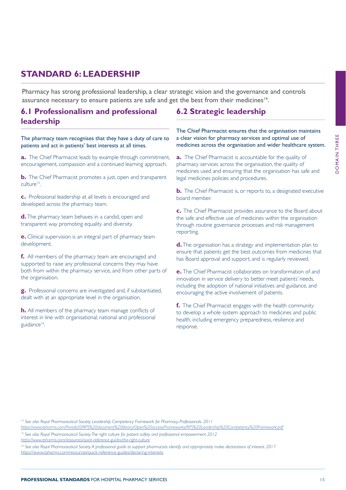# <span id="page-14-0"></span>**STANDARD 6: LEADERSHIP**

Pharmacy has strong professional leadership, a clear strategic vision and the governance and controls assurance necessary to ensure patients are safe and get the best from their medicines<sup>14</sup>.

## **6.1 Professionalism and professional leadership**

The pharmacy team recognises that they have a duty of care to patients and act in patients' best interests at all times.

**a.** The Chief Pharmacist leads by example through commitment, encouragement, compassion and a continued learning approach.

**b.** The Chief Pharmacist promotes a just, open and transparent culture15.

**c.** Professional leadership at all levels is encouraged and developed across the pharmacy team.

**d.** The pharmacy team behaves in a candid, open and transparent way promoting equality and diversity.

**e.** Clinical supervision is an integral part of pharmacy team development.

**f.** All members of the pharmacy team are encouraged and supported to raise any professional concerns they may have both from within the pharmacy service, and from other parts of the organisation.

**g.** Professional concerns are investigated and, if substantiated, dealt with at an appropriate level in the organisation.

**h.** All members of the pharmacy team manage conflicts of interest in line with organisational, national and professional guidance<sup>16</sup>.

## **6.2 Strategic leadership**

The Chief Pharmacist ensures that the organisation maintains a clear vision for pharmacy services and optimal use of medicines across the organisation and wider healthcare system.

**a.** The Chief Pharmacist is accountable for the quality of pharmacy services across the organisation, the quality of medicines used and ensuring that the organisation has safe and legal medicines policies and procedures.

**b.** The Chief Pharmacist is, or reports to, a designated executive board member.

**c.** The Chief Pharmacist provides assurance to the Board about the safe and effective use of medicines within the organisation through routine governance processes and risk management reporting.

**d.** The organisation has a strategy and implementation plan to ensure that patients get the best outcomes from medicines that has Board approval and support, and is regularly reviewed.

**e.** The Chief Pharmacist collaborates on transformation of and innovation in service delivery to better meet patients' needs, including the adoption of national initiatives and guidance, and encouraging the active involvement of patients.

**f.** The Chief Pharmacist engages with the health community to develop a whole system approach to medicines and public health, including emergency preparedness, resilience and response.

*14 See also Royal Pharmaceutical Society. Leadership Competency Framework for Pharmacy Professionals. 2011*

*[https://www.rpharms.com/Portals/0/RPS%20document%20library/Open%20access/Frameworks/RPS%20Leadership%20Competency%20Framework.pdf](https://www.rpharms.com/Portals/0/RPS%20document%20library/Open%20access/Frameworks/RPS%20Leadership)*

*15 See also Royal Pharmaceutical Society. The right culture for patient safety and professional empowerment 2012 <https://www.rpharms.com/resources/quick-reference-guides/the-right-culture>*

*16 See also Royal Pharmaceutical Society. A professional guide to support pharmacists identify and appropriately make declarations of interest. 2017* <https://www.rpharms.com/resources/quick-reference-guides/declaring-interests>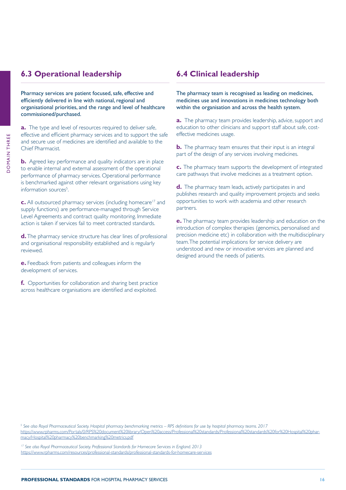## <span id="page-15-0"></span>**6.3 Operational leadership 6.4 Clinical leadership**

Pharmacy services are patient focused, safe, effective and efficiently delivered in line with national, regional and organisational priorities, and the range and level of healthcare commissioned/purchased.

**a.** The type and level of resources required to deliver safe, effective and efficient pharmacy services and to support the safe and secure use of medicines are identified and available to the Chief Pharmacist.

**b.** Agreed key performance and quality indicators are in place to enable internal and external assessment of the operational performance of pharmacy services. Operational performance is benchmarked against other relevant organisations using key information sources<sup>5</sup>. .

**c.** All outsourced pharmacy services (including homecare<sup>17</sup> and supply functions) are performance-managed through Service Level Agreements and contract quality monitoring. Immediate action is taken if services fail to meet contracted standards.

**d.** The pharmacy service structure has clear lines of professional and organisational responsibility established and is regularly reviewed.

**e.** Feedback from patients and colleagues inform the development of services.

**f.** Opportunities for collaboration and sharing best practice across healthcare organisations are identified and exploited.

The pharmacy team is recognised as leading on medicines, medicines use and innovations in medicines technology both within the organisation and across the health system.

**a.** The pharmacy team provides leadership, advice, support and education to other clinicians and support staff about safe, costeffective medicines usage.

**b.** The pharmacy team ensures that their input is an integral part of the design of any services involving medicines.

**c.** The pharmacy team supports the development of integrated care pathways that involve medicines as a treatment option.

**d.** The pharmacy team leads, actively participates in and publishes research and quality improvement projects and seeks opportunities to work with academia and other research partners.

**e.** The pharmacy team provides leadership and education on the introduction of complex therapies (genomics, personalised and precision medicine etc) in collaboration with the multidisciplinary team. The potential implications for service delivery are understood and new or innovative services are planned and designed around the needs of patients.

*5 See also Royal Pharmaceutical Society. Hospital pharmacy benchmarking metrics – RPS definitions for use by hospital pharmacy teams. 2017* [https://www.rpharms.com/Portals/0/RPS%20document%20library/Open%20access/Professional%20standards/Professional%20standards%20for%20Hospital%20phar](https://www.rpharms.com/Portals/0/RPS%20document%20library/Open%20access/Professional%20standards/Pr)[macy/Hospital%20pharmacy%20benchmarking%20metrics.pdf](https://www.rpharms.com/Portals/0/RPS%20document%20library/Open%20access/Professional%20standards/Pr)

*17 See also Royal Pharmaceutical Society. Professional Standards for Homecare Services in England. 2013* https://www.rpharms.com/resources/professional-standards/professional-standards-for-homecare-services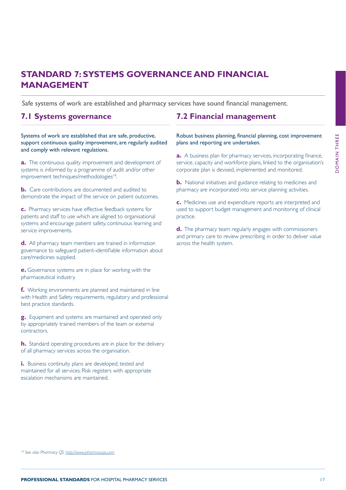# <span id="page-16-0"></span>**STANDARD 7: SYSTEMS GOVERNANCE AND FINANCIAL MANAGEMENT**

Safe systems of work are established and pharmacy services have sound financial management.

Systems of work are established that are safe, productive, support continuous quality improvement, are regularly audited and comply with relevant regulations.

**a.** The continuous quality improvement and development of systems is informed by a programme of audit and/or other improvement techniques/methodologies<sup>18</sup>.

**b.** Care contributions are documented and audited to demonstrate the impact of the service on patient outcomes.

**c.** Pharmacy services have effective feedback systems for patients and staff to use which are aligned to organisational systems and encourage patient safety, continuous learning and service improvements.

**d.** All pharmacy team members are trained in information governance to safeguard patient-identifiable information about care/medicines supplied.

**e.** Governance systems are in place for working with the pharmaceutical industry.

**f.** Working environments are planned and maintained in line with Health and Safety requirements, regulatory and professional best practice standards.

**g.** Equipment and systems are maintained and operated only by appropriately trained members of the team or external contractors.

**h.** Standard operating procedures are in place for the delivery of all pharmacy services across the organisation.

**i.** Business continuity plans are developed, tested and maintained for all services. Risk registers with appropriate escalation mechanisms are maintained.

## **7.1 Systems governance 7.2 Financial management**

Robust business planning, financial planning, cost improvement plans and reporting are undertaken.

**a.** A business plan for pharmacy services, incorporating finance, service, capacity and workforce plans, linked to the organisation's corporate plan is devised, implemented and monitored.

**b.** National initiatives and guidance relating to medicines and pharmacy are incorporated into service planning activities.

**c.** Medicines use and expenditure reports are interpreted and used to support budget management and monitoring of clinical practice.

**d.** The pharmacy team regularly engages with commissioners and primary care to review prescribing in order to deliver value across the health system.

*18 See also Pharmacy QS. <http://www.pharmacyqs.com>*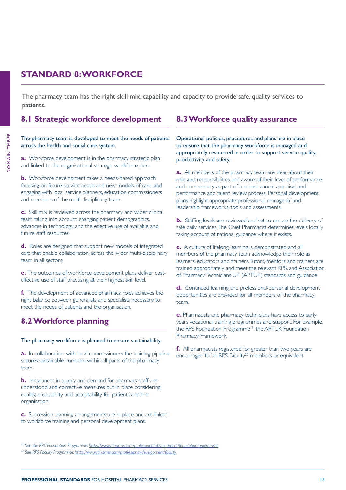# <span id="page-17-0"></span>**STANDARD 8: WORKFORCE**

The pharmacy team has the right skill mix, capability and capacity to provide safe, quality services to patients.

## **8.1 Strategic workforce development 8.3 Workforce quality assurance**

### The pharmacy team is developed to meet the needs of patients across the health and social care system.

**a.** Workforce development is in the pharmacy strategic plan and linked to the organisational strategic workforce plan.

**b.** Workforce development takes a needs-based approach focusing on future service needs and new models of care, and engaging with local service planners, education commissioners and members of the multi-disciplinary team.

**c.** Skill mix is reviewed across the pharmacy and wider clinical team taking into account changing patient demographics, advances in technology and the effective use of available and future staff resources.

**d.** Roles are designed that support new models of integrated care that enable collaboration across the wider multi-disciplinary team in all sectors.

**e.** The outcomes of workforce development plans deliver costeffective use of staff practising at their highest skill level.

**f.** The development of advanced pharmacy roles achieves the right balance between generalists and specialists necessary to meet the needs of patients and the organisation.

# **8.2 Workforce planning**

### The pharmacy workforce is planned to ensure sustainability.

a. In collaboration with local commissioners the training pipeline encouraged to be RPS Faculty<sup>20</sup> members or equivalent. secures sustainable numbers within all parts of the pharmacy team.

**b.** Imbalances in supply and demand for pharmacy staff are understood and corrective measures put in place considering quality, accessibility and acceptability for patients and the organisation.

**c.** Succession planning arrangements are in place and are linked to workforce training and personal development plans.

Operational policies, procedures and plans are in place to ensure that the pharmacy workforce is managed and appropriately resourced in order to support service quality, productivity and safety.

**a.** All members of the pharmacy team are clear about their role and responsibilities and aware of their level of performance and competency as part of a robust annual appraisal, and performance and talent review process. Personal development plans highlight appropriate professional, managerial and leadership frameworks, tools and assessments.

**b.** Staffing levels are reviewed and set to ensure the delivery of safe daily services. The Chief Pharmacist determines levels locally taking account of national guidance where it exists.

**c.** A culture of lifelong learning is demonstrated and all members of the pharmacy team acknowledge their role as learners, educators and trainers. Tutors, mentors and trainers are trained appropriately and meet the relevant RPS, and Association of Pharmacy Technicians UK (APTUK) standards and guidance.

**d.** Continued learning and professional/personal development opportunities are provided for all members of the pharmacy team.

**e.** Pharmacists and pharmacy technicians have access to early years vocational training programmes and support. For example, the RPS Foundation Programme<sup>19</sup>, the APTUK Foundation Pharmacy Framework.

**f.** All pharmacists registered for greater than two years are

**DOMAIN THREE** DOMAIN THREE

*<sup>19</sup> See the RPS Foundation Programme:<https://www.rpharms.com/professional-development/foundation-programme>*

*<sup>20</sup> See RPS Faculty Programme:<https://www.rpharms.com/professional-development/faculty>*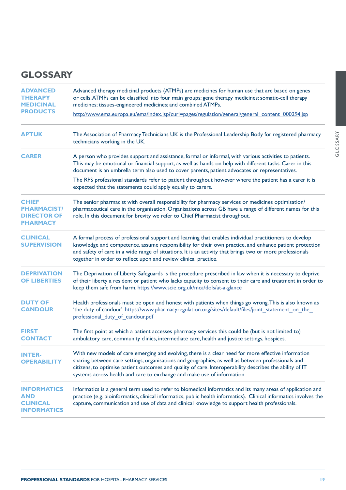# <span id="page-18-0"></span>**GLOSSARY**

| <b>ADVANCED</b><br><b>THERAPY</b><br><b>MEDICINAL</b>                       | Advanced therapy medicinal products (ATMPs) are medicines for human use that are based on genes<br>or cells. ATMPs can be classified into four main groups: gene therapy medicines; somatic-cell therapy<br>medicines; tissues-engineered medicines; and combined ATMPs.                                                                                                                         |  |
|-----------------------------------------------------------------------------|--------------------------------------------------------------------------------------------------------------------------------------------------------------------------------------------------------------------------------------------------------------------------------------------------------------------------------------------------------------------------------------------------|--|
| <b>PRODUCTS</b>                                                             | http://www.ema.europa.eu/ema/index.jsp?curl=pages/regulation/general/general_content_000294.jsp                                                                                                                                                                                                                                                                                                  |  |
| <b>APTUK</b>                                                                | The Association of Pharmacy Technicians UK is the Professional Leadership Body for registered pharmacy<br>technicians working in the UK.                                                                                                                                                                                                                                                         |  |
| <b>CARER</b>                                                                | A person who provides support and assistance, formal or informal, with various activities to patients.<br>This may be emotional or financial support, as well as hands-on help with different tasks. Carer in this<br>document is an umbrella term also used to cover parents, patient advocates or representatives.                                                                             |  |
|                                                                             | The RPS professional standards refer to patient throughout however where the patient has a carer it is<br>expected that the statements could apply equally to carers.                                                                                                                                                                                                                            |  |
| <b>CHIEF</b><br><b>PHARMACIST/</b><br><b>DIRECTOR OF</b><br><b>PHARMACY</b> | The senior pharmacist with overall responsibility for pharmacy services or medicines optimisation/<br>pharmaceutical care in the organisation. Organisations across GB have a range of different names for this<br>role. In this document for brevity we refer to Chief Pharmacist throughout.                                                                                                   |  |
| <b>CLINICAL</b><br><b>SUPERVISION</b>                                       | A formal process of professional support and learning that enables individual practitioners to develop<br>knowledge and competence, assume responsibility for their own practice, and enhance patient protection<br>and safety of care in a wide range of situations. It is an activity that brings two or more professionals<br>together in order to reflect upon and review clinical practice. |  |
| <b>DEPRIVATION</b><br><b>OF LIBERTIES</b>                                   | The Deprivation of Liberty Safeguards is the procedure prescribed in law when it is necessary to deprive<br>of their liberty a resident or patient who lacks capacity to consent to their care and treatment in order to<br>keep them safe from harm. https://www.scie.org.uk/mca/dols/at-a-glance                                                                                               |  |
| <b>DUTY OF</b><br><b>CANDOUR</b>                                            | Health professionals must be open and honest with patients when things go wrong. This is also known as<br>'the duty of candour'. https://www.pharmacyregulation.org/sites/default/files/joint_statement_on_the_<br>professional duty of candour.pdf                                                                                                                                              |  |
| <b>FIRST</b><br><b>CONTACT</b>                                              | The first point at which a patient accesses pharmacy services this could be (but is not limited to)<br>ambulatory care, community clinics, intermediate care, health and justice settings, hospices.                                                                                                                                                                                             |  |
| <b>INTER-</b><br><b>OPERABILITY</b>                                         | With new models of care emerging and evolving, there is a clear need for more effective information<br>sharing between care settings, organisations and geographies, as well as between professionals and<br>citizens, to optimise patient outcomes and quality of care. Interoperability describes the ability of IT<br>systems across health and care to exchange and make use of information. |  |
| <b>INFORMATICS</b><br>AND<br><b>CLINICAL</b><br><b>INFORMATICS</b>          | Informatics is a general term used to refer to biomedical informatics and its many areas of application and<br>practice (e.g. bioinformatics, clinical informatics, public health informatics). Clinical informatics involves the<br>capture, communication and use of data and clinical knowledge to support health professionals.                                                              |  |

GLOSSARY

GLOSSARY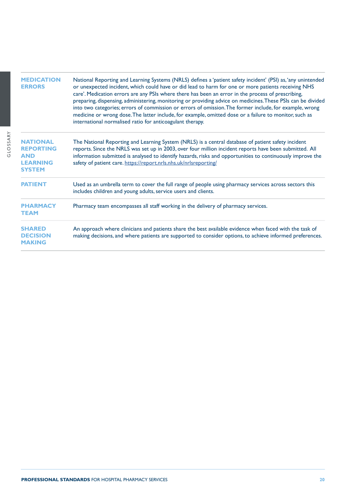| <b>MEDICATION</b><br><b>ERRORS</b>                                                    | National Reporting and Learning Systems (NRLS) defines a 'patient safety incident' (PSI) as, 'any unintended<br>or unexpected incident, which could have or did lead to harm for one or more patients receiving NHS<br>care'. Medication errors are any PSIs where there has been an error in the process of prescribing,<br>preparing, dispensing, administering, monitoring or providing advice on medicines. These PSIs can be divided<br>into two categories; errors of commission or errors of omission. The former include, for example, wrong<br>medicine or wrong dose. The latter include, for example, omitted dose or a failure to monitor, such as<br>international normalised ratio for anticoagulant therapy. |
|---------------------------------------------------------------------------------------|-----------------------------------------------------------------------------------------------------------------------------------------------------------------------------------------------------------------------------------------------------------------------------------------------------------------------------------------------------------------------------------------------------------------------------------------------------------------------------------------------------------------------------------------------------------------------------------------------------------------------------------------------------------------------------------------------------------------------------|
| <b>NATIONAL</b><br><b>REPORTING</b><br><b>AND</b><br><b>LEARNING</b><br><b>SYSTEM</b> | The National Reporting and Learning System (NRLS) is a central database of patient safety incident<br>reports. Since the NRLS was set up in 2003, over four million incident reports have been submitted. All<br>information submitted is analysed to identify hazards, risks and opportunities to continuously improve the<br>safety of patient care. https://report.nrls.nhs.uk/nrlsreporting/                                                                                                                                                                                                                                                                                                                            |
| <b>PATIENT</b>                                                                        | Used as an umbrella term to cover the full range of people using pharmacy services across sectors this<br>includes children and young adults, service users and clients.                                                                                                                                                                                                                                                                                                                                                                                                                                                                                                                                                    |
| <b>PHARMACY</b><br><b>TEAM</b>                                                        | Pharmacy team encompasses all staff working in the delivery of pharmacy services.                                                                                                                                                                                                                                                                                                                                                                                                                                                                                                                                                                                                                                           |
| <b>SHARED</b><br><b>DECISION</b><br><b>MAKING</b>                                     | An approach where clinicians and patients share the best available evidence when faced with the task of<br>making decisions, and where patients are supported to consider options, to achieve informed preferences.                                                                                                                                                                                                                                                                                                                                                                                                                                                                                                         |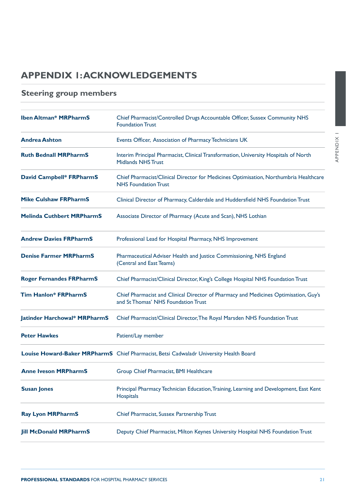# <span id="page-20-0"></span>**APPENDIX 1: ACKNOWLEDGEMENTS**

# **Steering group members**

| <b>Iben Altman* MRPharmS</b>     | Chief Pharmacist/Controlled Drugs Accountable Officer, Sussex Community NHS<br><b>Foundation Trust</b>                      |
|----------------------------------|-----------------------------------------------------------------------------------------------------------------------------|
| <b>Andrea Ashton</b>             | Events Officer, Association of Pharmacy Technicians UK                                                                      |
| <b>Ruth Bednall MRPharmS</b>     | Interim Principal Pharmacist, Clinical Transformation, University Hospitals of North<br><b>Midlands NHS Trust</b>           |
| David Campbell* FRPharmS         | Chief Pharmacist/Clinical Director for Medicines Optimisation, Northumbria Healthcare<br><b>NHS</b> Foundation Trust        |
| <b>Mike Culshaw FRPharmS</b>     | Clinical Director of Pharmacy, Calderdale and Huddersfield NHS Foundation Trust                                             |
| <b>Melinda Cuthbert MRPharmS</b> | Associate Director of Pharmacy (Acute and Scan), NHS Lothian                                                                |
| <b>Andrew Davies FRPharmS</b>    | Professional Lead for Hospital Pharmacy, NHS Improvement                                                                    |
| <b>Denise Farmer MRPharmS</b>    | Pharmaceutical Adviser Health and Justice Commissioning, NHS England<br>(Central and East Teams)                            |
| <b>Roger Fernandes FRPharmS</b>  | Chief Pharmacist/Clinical Director, King's College Hospital NHS Foundation Trust                                            |
| <b>Tim Hanlon* FRPharmS</b>      | Chief Pharmacist and Clinical Director of Pharmacy and Medicines Optimisation, Guy's<br>and St Thomas' NHS Foundation Trust |
| Jatinder Harchowal* MRPharmS     | Chief Pharmacist/Clinical Director, The Royal Marsden NHS Foundation Trust                                                  |
| <b>Peter Hawkes</b>              | Patient/Lay member                                                                                                          |
|                                  | Louise Howard-Baker MRPharmS Chief Pharmacist, Betsi Cadwaladr University Health Board                                      |
| <b>Anne Iveson MRPharmS</b>      | Group Chief Pharmacist, BMI Healthcare                                                                                      |
| <b>Susan Jones</b>               | Principal Pharmacy Technician Education, Training, Learning and Development, East Kent<br><b>Hospitals</b>                  |
| <b>Ray Lyon MRPharmS</b>         | Chief Pharmacist, Sussex Partnership Trust                                                                                  |
| <b>Jill McDonald MRPharmS</b>    | Deputy Chief Pharmacist, Milton Keynes University Hospital NHS Foundation Trust                                             |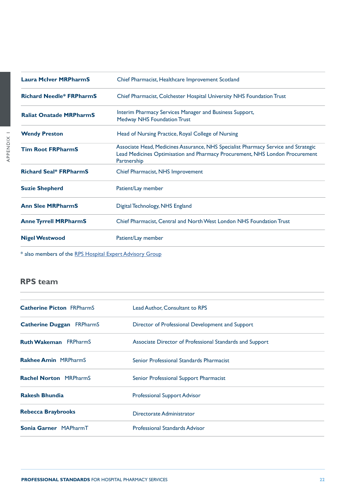<span id="page-21-0"></span>

| <b>Laura McIver MRPharmS</b>                             | Chief Pharmacist, Healthcare Improvement Scotland                                                                                                                                 |
|----------------------------------------------------------|-----------------------------------------------------------------------------------------------------------------------------------------------------------------------------------|
| <b>Richard Needle* FRPharmS</b>                          | Chief Pharmacist, Colchester Hospital University NHS Foundation Trust                                                                                                             |
| <b>Raliat Onatade MRPharmS</b>                           | Interim Pharmacy Services Manager and Business Support,<br><b>Medway NHS Foundation Trust</b>                                                                                     |
| <b>Wendy Preston</b>                                     | Head of Nursing Practice, Royal College of Nursing                                                                                                                                |
| <b>Tim Root FRPharmS</b>                                 | Associate Head, Medicines Assurance, NHS Specialist Pharmacy Service and Strategic<br>Lead Medicines Optimisation and Pharmacy Procurement, NHS London Procurement<br>Partnership |
| <b>Richard Seal* FRPharmS</b>                            | Chief Pharmacist, NHS Improvement                                                                                                                                                 |
| <b>Suzie Shepherd</b>                                    | Patient/Lay member                                                                                                                                                                |
| <b>Ann Slee MRPharmS</b>                                 | Digital Technology, NHS England                                                                                                                                                   |
| <b>Anne Tyrrell MRPharmS</b>                             | Chief Pharmacist, Central and North West London NHS Foundation Trust                                                                                                              |
| <b>Nigel Westwood</b>                                    | Patient/Lay member                                                                                                                                                                |
| * also members of the RPS Hospital Expert Advisory Group |                                                                                                                                                                                   |

# **RPS team**

| <b>Catherine Picton FRPharmS</b> | Lead Author, Consultant to RPS                           |
|----------------------------------|----------------------------------------------------------|
| <b>Catherine Duggan FRPharmS</b> | Director of Professional Development and Support         |
| <b>Ruth Wakeman</b> FRPharmS     | Associate Director of Professional Standards and Support |
| <b>Rakhee Amin MRPharmS</b>      | Senior Professional Standards Pharmacist                 |
| <b>Rachel Norton MRPharmS</b>    | Senior Professional Support Pharmacist                   |
| <b>Rakesh Bhundia</b>            | <b>Professional Support Advisor</b>                      |
| <b>Rebecca Braybrooks</b>        | Directorate Administrator                                |
| Sonia Garner MAPharmT            | <b>Professional Standards Advisor</b>                    |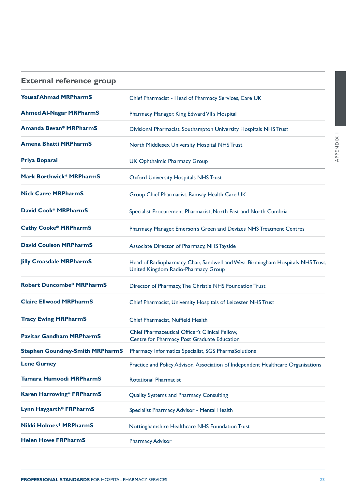| $\times$ |  |
|----------|--|
| ٦        |  |
| ŗ<br>ï   |  |
|          |  |
|          |  |
|          |  |

| <b>Yousaf Ahmad MRPharmS</b>           | Chief Pharmacist - Head of Pharmacy Services, Care UK                                                                  |
|----------------------------------------|------------------------------------------------------------------------------------------------------------------------|
| <b>Ahmed Al-Nagar MRPharmS</b>         | Pharmacy Manager, King Edward VII's Hospital                                                                           |
| <b>Amanda Bevan* MRPharmS</b>          | Divisional Pharmacist, Southampton University Hospitals NHS Trust                                                      |
| <b>Amena Bhatti MRPharmS</b>           | North Middlesex University Hospital NHS Trust                                                                          |
| Priya Boparai                          | <b>UK Ophthalmic Pharmacy Group</b>                                                                                    |
| <b>Mark Borthwick* MRPharmS</b>        | <b>Oxford University Hospitals NHS Trust</b>                                                                           |
| <b>Nick Carre MRPharmS</b>             | Group Chief Pharmacist, Ramsay Health Care UK                                                                          |
| <b>David Cook* MRPharmS</b>            | Specialist Procurement Pharmacist, North East and North Cumbria                                                        |
| <b>Cathy Cooke* MRPharmS</b>           | Pharmacy Manager, Emerson's Green and Devizes NHS Treatment Centres                                                    |
| <b>David Coulson MRPharmS</b>          | Associate Director of Pharmacy, NHS Tayside                                                                            |
| <b>Jilly Croasdale MRPharmS</b>        | Head of Radiopharmacy, Chair, Sandwell and West Birmingham Hospitals NHS Trust,<br>United Kingdom Radio-Pharmacy Group |
| <b>Robert Duncombe* MRPharmS</b>       | Director of Pharmacy, The Christie NHS Foundation Trust                                                                |
| <b>Claire Ellwood MRPharmS</b>         | Chief Pharmacist, University Hospitals of Leicester NHS Trust                                                          |
| <b>Tracy Ewing MRPharmS</b>            | Chief Pharmacist, Nuffield Health                                                                                      |
| <b>Pavitar Gandham MRPharmS</b>        | Chief Pharmaceutical Officer's Clinical Fellow,<br>Centre for Pharmacy Post Graduate Education                         |
| <b>Stephen Goundrey-Smith MRPharmS</b> | Pharmacy Informatics Specialist, SGS PharmaSolutions                                                                   |
| <b>Lene Gurney</b>                     | Practice and Policy Advisor, Association of Independent Healthcare Organisations                                       |
| <b>Tamara Hamoodi MRPharmS</b>         | <b>Rotational Pharmacist</b>                                                                                           |
| <b>Karen Harrowing* FRPharmS</b>       | Quality Systems and Pharmacy Consulting                                                                                |
| Lynn Haygarth* FRPharmS                | Specialist Pharmacy Advisor - Mental Health                                                                            |
| <b>Nikki Holmes* MRPharmS</b>          | Nottinghamshire Healthcare NHS Foundation Trust                                                                        |
| <b>Helen Howe FRPharmS</b>             | <b>Pharmacy Advisor</b>                                                                                                |

<span id="page-22-0"></span>**External reference group**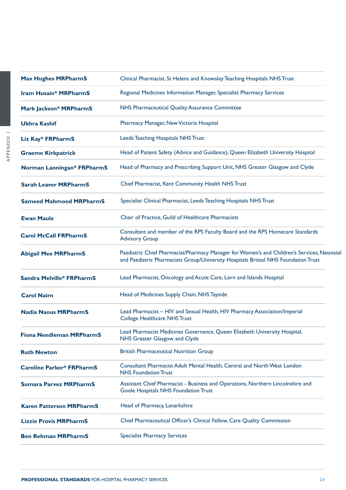| <b>Max Hughes MRPharmS</b>       | Clinical Pharmacist, St Helens and Knowsley Teaching Hospitals NHS Trust                                                                                                         |
|----------------------------------|----------------------------------------------------------------------------------------------------------------------------------------------------------------------------------|
| <b>Iram Husain* MRPharmS</b>     | Regional Medicines Information Manager, Specialist Pharmacy Services                                                                                                             |
| <b>Mark Jackson* MRPharmS</b>    | NHS Pharmaceutical Quality Assurance Committee                                                                                                                                   |
| <b>Ukhra Kashif</b>              | Pharmacy Manager, New Victoria Hospital                                                                                                                                          |
| Liz Kay* FRPharmS                | Leeds Teaching Hospitals NHS Trust                                                                                                                                               |
| <b>Graeme Kirkpatrick</b>        | Head of Patient Safety (Advice and Guidance), Queen Elizabeth University Hospital                                                                                                |
| Norman Lanningan* FRPharmS       | Head of Pharmacy and Prescribing Support Unit, NHS Greater Glasgow and Clyde                                                                                                     |
| <b>Sarah Leaver MRPharmS</b>     | Chief Pharmacist, Kent Community Health NHS Trust                                                                                                                                |
| <b>Sameed Mahmood MRPharmS</b>   | Specialist Clinical Pharmacist, Leeds Teaching Hospitals NHS Trust                                                                                                               |
| <b>Ewan Maule</b>                | Chair of Practice, Guild of Healthcare Pharmacists                                                                                                                               |
| <b>Carol McCall FRPharmS</b>     | Consultant and member of the RPS Faculty Board and the RPS Homecare Standards<br><b>Advisory Group</b>                                                                           |
| <b>Abigail Mee MRPharmS</b>      | Paediatric Chief Pharmacist/Pharmacy Manager for Women's and Children's Services, Neonatal<br>and Paediatric Pharmacists Group/University Hospitals Bristol NHS Foundation Trust |
| <b>Sandra Melville* FRPharmS</b> | Lead Pharmacist, Oncology and Acute Care, Lorn and Islands Hospital                                                                                                              |
| <b>Carol Nairn</b>               | Head of Medicines Supply Chain, NHS Tayside                                                                                                                                      |
| <b>Nadia Naous MRPharmS</b>      | Lead Pharmacist - HIV and Sexual Health, HIV Pharmacy Association/Imperial<br><b>College Healthcare NHS Trust</b>                                                                |
| Fiona Needleman MRPharmS         | Lead Pharmacist Medicines Governance, Queen Elizabeth University Hospital,<br>NHS Greater Glasgow and Clyde                                                                      |
| <b>Ruth Newton</b>               | <b>British Pharmaceutical Nutrition Group</b>                                                                                                                                    |
| <b>Caroline Parker* FRPharmS</b> | Consultant Pharmacist Adult Mental Health, Central and North West London<br><b>NHS Foundation Trust</b>                                                                          |
| <b>Sumara Parvez MRPharmS</b>    | Assistant Chief Pharmacist - Business and Operations, Northern Lincolnshire and<br>Goole Hospitals NHS Foundation Trust                                                          |
| <b>Karen Patterson MRPharmS</b>  | Head of Pharmacy, Lanarkshire                                                                                                                                                    |
| <b>Lizzie Provis MRPharmS</b>    | Chief Pharmaceutical Officer's Clinical Fellow, Care Quality Commission                                                                                                          |
| <b>Ben Rehman MRPharmS</b>       | <b>Specialist Pharmacy Services</b>                                                                                                                                              |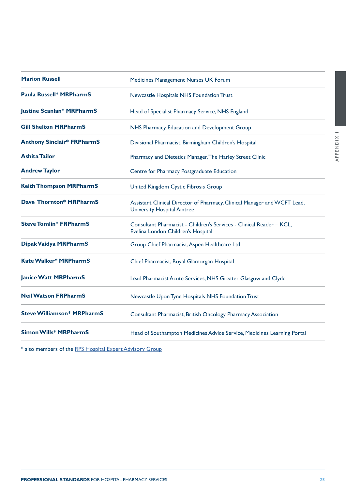| <b>Marion Russell</b>             | Medicines Management Nurses UK Forum                                                                           |
|-----------------------------------|----------------------------------------------------------------------------------------------------------------|
| <b>Paula Russell* MRPharmS</b>    | Newcastle Hospitals NHS Foundation Trust                                                                       |
| <b>Justine Scanlan* MRPharmS</b>  | Head of Specialist Pharmacy Service, NHS England                                                               |
| <b>Gill Shelton MRPharmS</b>      | NHS Pharmacy Education and Development Group                                                                   |
| <b>Anthony Sinclair* FRPharmS</b> | Divisional Pharmacist, Birmingham Children's Hospital                                                          |
| <b>Ashita Tailor</b>              | Pharmacy and Dietetics Manager, The Harley Street Clinic                                                       |
| <b>Andrew Taylor</b>              | Centre for Pharmacy Postgraduate Education                                                                     |
| <b>Keith Thompson MRPharmS</b>    | United Kingdom Cystic Fibrosis Group                                                                           |
| <b>Dave Thornton* MRPharmS</b>    | Assistant Clinical Director of Pharmacy, Clinical Manager and WCFT Lead,<br><b>University Hospital Aintree</b> |
| <b>Steve Tomlin* FRPharmS</b>     | Consultant Pharmacist - Children's Services - Clinical Reader - KCL,<br>Evelina London Children's Hospital     |
| Dipak Vaidya MRPharmS             | Group Chief Pharmacist, Aspen Healthcare Ltd                                                                   |
| <b>Kate Walker* MRPharmS</b>      | Chief Pharmacist, Royal Glamorgan Hospital                                                                     |
| <b>Janice Watt MRPharmS</b>       | Lead Pharmacist Acute Services, NHS Greater Glasgow and Clyde                                                  |
| <b>Neil Watson FRPharmS</b>       | Newcastle Upon Tyne Hospitals NHS Foundation Trust                                                             |
| <b>Steve Williamson* MRPharmS</b> | Consultant Pharmacist, British Oncology Pharmacy Association                                                   |
| <b>Simon Wills* MRPharmS</b>      | Head of Southampton Medicines Advice Service, Medicines Learning Portal                                        |

\* also members of the [RPS Hospital Expert Advisory Group](https://www.rpharms.com/about-us/how-we-are-run/expert-advisory-panels-groups-and-forums/hospital-expert-advisory-group)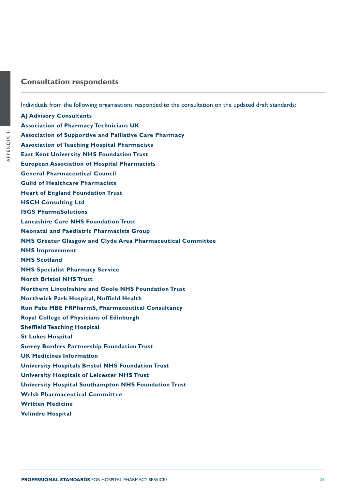## <span id="page-25-0"></span>**Consultation respondents**

Individuals from the following organisations responded to the consultation on the updated draft standards:

**AJ Advisory Consultants Association of Pharmacy Technicians UK Association of Supportive and Palliative Care Pharmacy Association of Teaching Hospital Pharmacists East Kent University NHS Foundation Trust European Association of Hospital Pharmacists General Pharmaceutical Council Guild of Healthcare Pharmacists Heart of England Foundation Trust HSCH Consulting Ltd ISGS PharmaSolutions Lancashire Care NHS Foundation Trust Neonatal and Paediatric Pharmacists Group NHS Greater Glasgow and Clyde Area Pharmaceutical Committee NHS Improvement NHS Scotland NHS Specialist Pharmacy Service North Bristol NHS Trust Northern Lincolnshire and Goole NHS Foundation Trust Northwick Park Hospital, Nuffield Health Ron Pate MBE FRPharmS, Pharmaceutical Consultancy Royal College of Physicians of Edinburgh Sheffield Teaching Hospital St Lukes Hospital Surrey Borders Partnership Foundation Trust UK Medicines Information University Hospitals Bristol NHS Foundation Trust University Hospitals of Leicester NHS Trust University Hospital Southampton NHS Foundation Trust Welsh Pharmaceutical Committee Written Medicine Velindre Hospital**